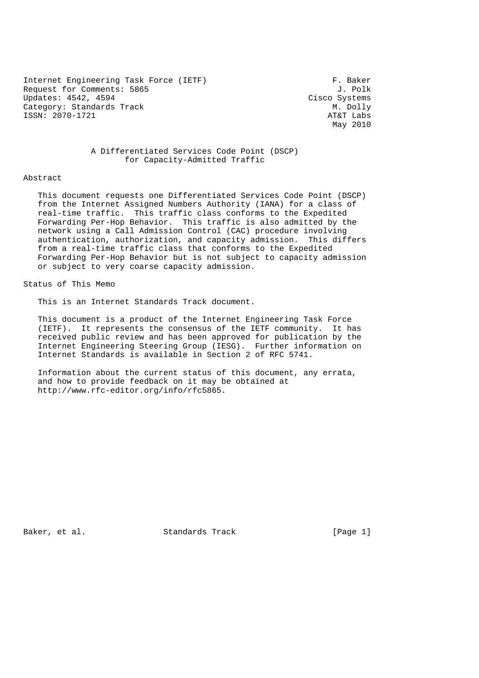Internet Engineering Task Force (IETF) F. Baker<br>Request for Comments: 5865 5965 Request for Comments: 5865 Updates: 4542, 4594 Cisco Systems Category: Standards Track M. Dolly<br>
ISSN: 2070-1721 AT&T Labs ISSN: 2070-1721

May 2010

### A Differentiated Services Code Point (DSCP) for Capacity-Admitted Traffic

#### Abstract

 This document requests one Differentiated Services Code Point (DSCP) from the Internet Assigned Numbers Authority (IANA) for a class of real-time traffic. This traffic class conforms to the Expedited Forwarding Per-Hop Behavior. This traffic is also admitted by the network using a Call Admission Control (CAC) procedure involving authentication, authorization, and capacity admission. This differs from a real-time traffic class that conforms to the Expedited Forwarding Per-Hop Behavior but is not subject to capacity admission or subject to very coarse capacity admission.

# Status of This Memo

This is an Internet Standards Track document.

 This document is a product of the Internet Engineering Task Force (IETF). It represents the consensus of the IETF community. It has received public review and has been approved for publication by the Internet Engineering Steering Group (IESG). Further information on Internet Standards is available in Section 2 of RFC 5741.

 Information about the current status of this document, any errata, and how to provide feedback on it may be obtained at http://www.rfc-editor.org/info/rfc5865.

Baker, et al. Standards Track [Page 1]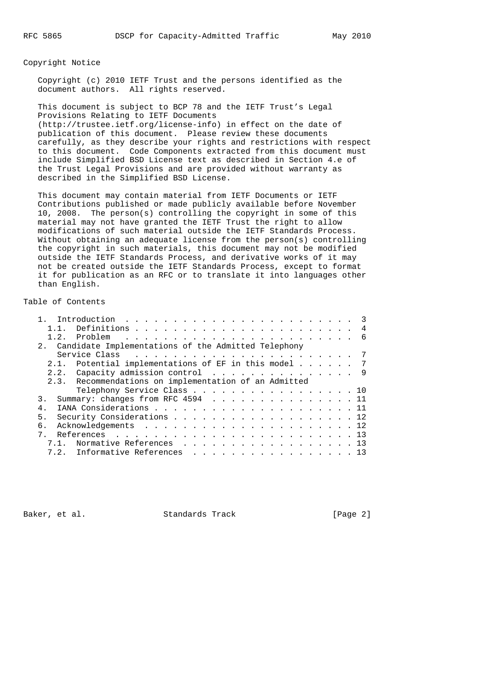Copyright Notice

 Copyright (c) 2010 IETF Trust and the persons identified as the document authors. All rights reserved.

 This document is subject to BCP 78 and the IETF Trust's Legal Provisions Relating to IETF Documents (http://trustee.ietf.org/license-info) in effect on the date of publication of this document. Please review these documents carefully, as they describe your rights and restrictions with respect to this document. Code Components extracted from this document must include Simplified BSD License text as described in Section 4.e of the Trust Legal Provisions and are provided without warranty as described in the Simplified BSD License.

 This document may contain material from IETF Documents or IETF Contributions published or made publicly available before November 10, 2008. The person(s) controlling the copyright in some of this material may not have granted the IETF Trust the right to allow modifications of such material outside the IETF Standards Process. Without obtaining an adequate license from the person(s) controlling the copyright in such materials, this document may not be modified outside the IETF Standards Process, and derivative works of it may not be created outside the IETF Standards Process, except to format it for publication as an RFC or to translate it into languages other than English.

## Table of Contents

| 2. Candidate Implementations of the Admitted Telephony |  |  |  |
|--------------------------------------------------------|--|--|--|
|                                                        |  |  |  |
| 2.1. Potential implementations of EF in this model 7   |  |  |  |
| 2.2. Capacity admission control 9                      |  |  |  |
| 2.3. Recommendations on implementation of an Admitted  |  |  |  |
| Telephony Service Class 10                             |  |  |  |
| Summary: changes from RFC 4594 11<br>3.                |  |  |  |
| 4 <sub>1</sub>                                         |  |  |  |
| Security Considerations 12<br>5.                       |  |  |  |
| б.                                                     |  |  |  |
|                                                        |  |  |  |
| 7.1. Normative References 13                           |  |  |  |
| 7.2. Informative References 13                         |  |  |  |

Baker, et al. Standards Track [Page 2]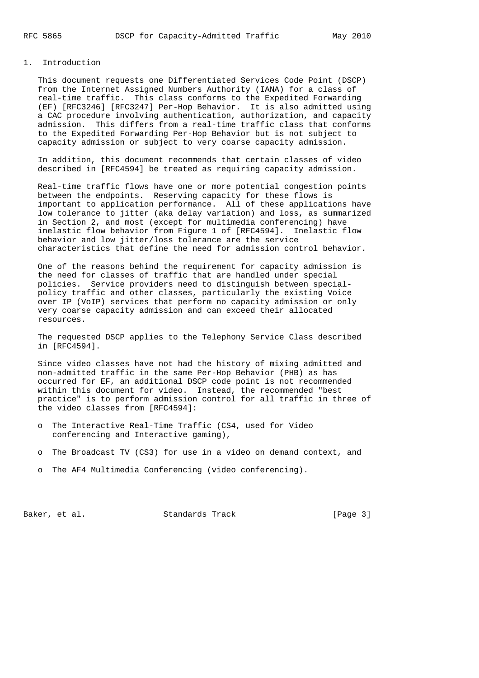#### 1. Introduction

 This document requests one Differentiated Services Code Point (DSCP) from the Internet Assigned Numbers Authority (IANA) for a class of real-time traffic. This class conforms to the Expedited Forwarding (EF) [RFC3246] [RFC3247] Per-Hop Behavior. It is also admitted using a CAC procedure involving authentication, authorization, and capacity admission. This differs from a real-time traffic class that conforms to the Expedited Forwarding Per-Hop Behavior but is not subject to capacity admission or subject to very coarse capacity admission.

 In addition, this document recommends that certain classes of video described in [RFC4594] be treated as requiring capacity admission.

 Real-time traffic flows have one or more potential congestion points between the endpoints. Reserving capacity for these flows is important to application performance. All of these applications have low tolerance to jitter (aka delay variation) and loss, as summarized in Section 2, and most (except for multimedia conferencing) have inelastic flow behavior from Figure 1 of [RFC4594]. Inelastic flow behavior and low jitter/loss tolerance are the service characteristics that define the need for admission control behavior.

 One of the reasons behind the requirement for capacity admission is the need for classes of traffic that are handled under special policies. Service providers need to distinguish between special policy traffic and other classes, particularly the existing Voice over IP (VoIP) services that perform no capacity admission or only very coarse capacity admission and can exceed their allocated resources.

 The requested DSCP applies to the Telephony Service Class described in [RFC4594].

 Since video classes have not had the history of mixing admitted and non-admitted traffic in the same Per-Hop Behavior (PHB) as has occurred for EF, an additional DSCP code point is not recommended within this document for video. Instead, the recommended "best practice" is to perform admission control for all traffic in three of the video classes from [RFC4594]:

- o The Interactive Real-Time Traffic (CS4, used for Video conferencing and Interactive gaming),
- o The Broadcast TV (CS3) for use in a video on demand context, and
- o The AF4 Multimedia Conferencing (video conferencing).

Baker, et al. Standards Track [Page 3]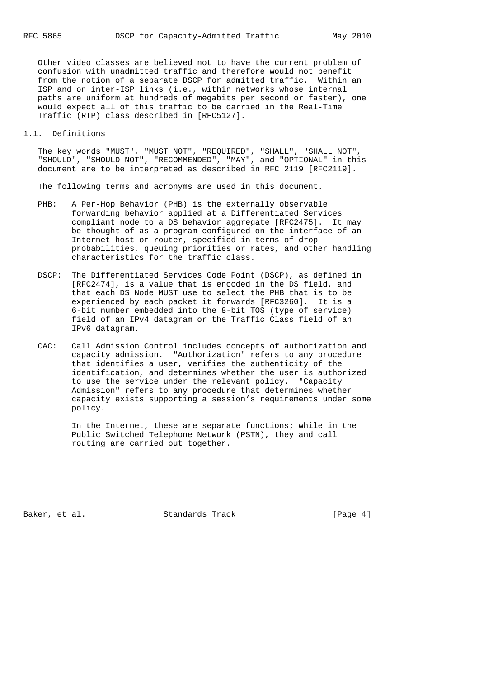Other video classes are believed not to have the current problem of confusion with unadmitted traffic and therefore would not benefit from the notion of a separate DSCP for admitted traffic. Within an ISP and on inter-ISP links (i.e., within networks whose internal paths are uniform at hundreds of megabits per second or faster), one would expect all of this traffic to be carried in the Real-Time Traffic (RTP) class described in [RFC5127].

### 1.1. Definitions

 The key words "MUST", "MUST NOT", "REQUIRED", "SHALL", "SHALL NOT", "SHOULD", "SHOULD NOT", "RECOMMENDED", "MAY", and "OPTIONAL" in this document are to be interpreted as described in RFC 2119 [RFC2119].

The following terms and acronyms are used in this document.

- PHB: A Per-Hop Behavior (PHB) is the externally observable forwarding behavior applied at a Differentiated Services compliant node to a DS behavior aggregate [RFC2475]. It may be thought of as a program configured on the interface of an Internet host or router, specified in terms of drop probabilities, queuing priorities or rates, and other handling characteristics for the traffic class.
- DSCP: The Differentiated Services Code Point (DSCP), as defined in [RFC2474], is a value that is encoded in the DS field, and that each DS Node MUST use to select the PHB that is to be experienced by each packet it forwards [RFC3260]. It is a 6-bit number embedded into the 8-bit TOS (type of service) field of an IPv4 datagram or the Traffic Class field of an IPv6 datagram.
- CAC: Call Admission Control includes concepts of authorization and capacity admission. "Authorization" refers to any procedure that identifies a user, verifies the authenticity of the identification, and determines whether the user is authorized to use the service under the relevant policy. "Capacity Admission" refers to any procedure that determines whether capacity exists supporting a session's requirements under some policy.

 In the Internet, these are separate functions; while in the Public Switched Telephone Network (PSTN), they and call routing are carried out together.

Baker, et al. Standards Track [Page 4]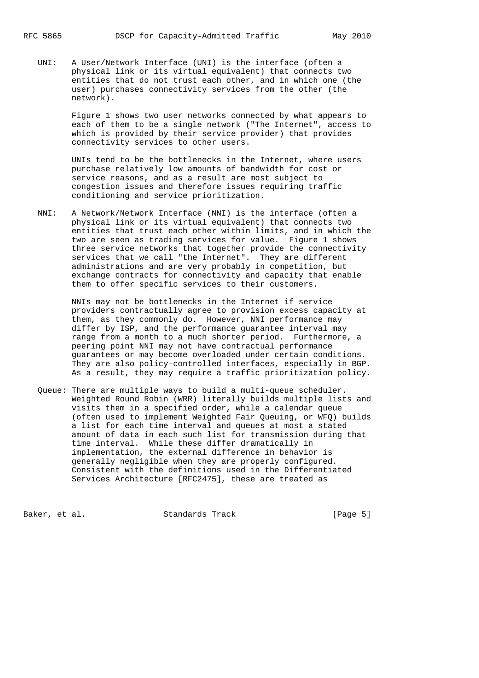UNI: A User/Network Interface (UNI) is the interface (often a physical link or its virtual equivalent) that connects two entities that do not trust each other, and in which one (the user) purchases connectivity services from the other (the network).

> Figure 1 shows two user networks connected by what appears to each of them to be a single network ("The Internet", access to which is provided by their service provider) that provides connectivity services to other users.

 UNIs tend to be the bottlenecks in the Internet, where users purchase relatively low amounts of bandwidth for cost or service reasons, and as a result are most subject to congestion issues and therefore issues requiring traffic conditioning and service prioritization.

 NNI: A Network/Network Interface (NNI) is the interface (often a physical link or its virtual equivalent) that connects two entities that trust each other within limits, and in which the two are seen as trading services for value. Figure 1 shows three service networks that together provide the connectivity services that we call "the Internet". They are different administrations and are very probably in competition, but exchange contracts for connectivity and capacity that enable them to offer specific services to their customers.

> NNIs may not be bottlenecks in the Internet if service providers contractually agree to provision excess capacity at them, as they commonly do. However, NNI performance may differ by ISP, and the performance guarantee interval may range from a month to a much shorter period. Furthermore, a peering point NNI may not have contractual performance guarantees or may become overloaded under certain conditions. They are also policy-controlled interfaces, especially in BGP. As a result, they may require a traffic prioritization policy.

 Queue: There are multiple ways to build a multi-queue scheduler. Weighted Round Robin (WRR) literally builds multiple lists and visits them in a specified order, while a calendar queue (often used to implement Weighted Fair Queuing, or WFQ) builds a list for each time interval and queues at most a stated amount of data in each such list for transmission during that time interval. While these differ dramatically in implementation, the external difference in behavior is generally negligible when they are properly configured. Consistent with the definitions used in the Differentiated Services Architecture [RFC2475], these are treated as

Baker, et al. Standards Track [Page 5]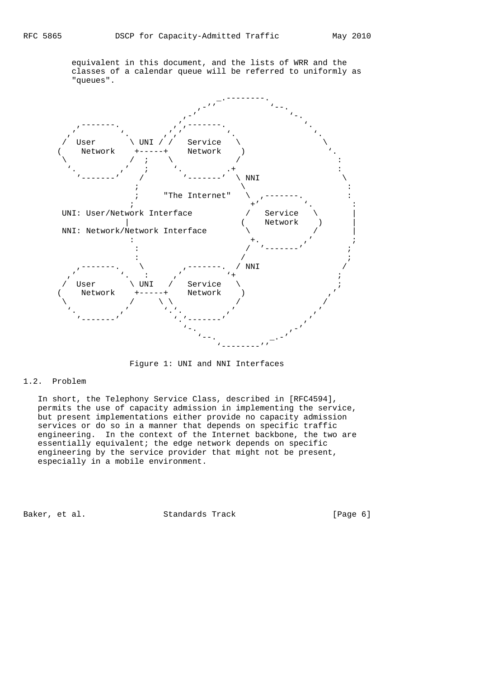equivalent in this document, and the lists of WRR and the classes of a calendar queue will be referred to uniformly as "queues".



Figure 1: UNI and NNI Interfaces

### 1.2. Problem

 In short, the Telephony Service Class, described in [RFC4594], permits the use of capacity admission in implementing the service, but present implementations either provide no capacity admission services or do so in a manner that depends on specific traffic engineering. In the context of the Internet backbone, the two are essentially equivalent; the edge network depends on specific engineering by the service provider that might not be present, especially in a mobile environment.

Baker, et al. Standards Track [Page 6]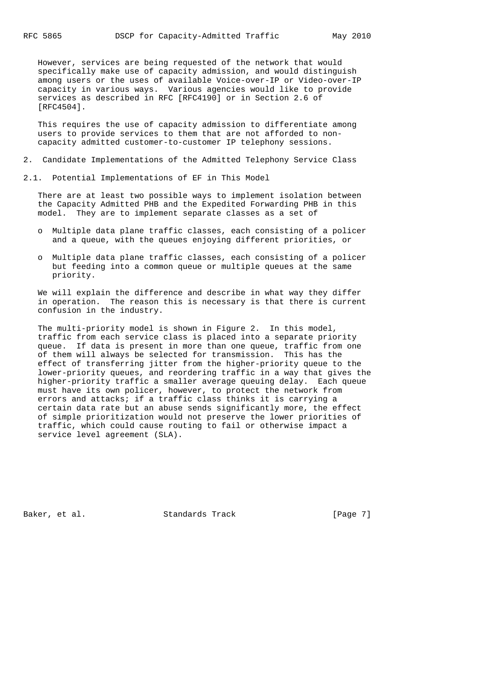However, services are being requested of the network that would specifically make use of capacity admission, and would distinguish among users or the uses of available Voice-over-IP or Video-over-IP capacity in various ways. Various agencies would like to provide services as described in RFC [RFC4190] or in Section 2.6 of [RFC4504].

 This requires the use of capacity admission to differentiate among users to provide services to them that are not afforded to non capacity admitted customer-to-customer IP telephony sessions.

- 2. Candidate Implementations of the Admitted Telephony Service Class
- 2.1. Potential Implementations of EF in This Model

 There are at least two possible ways to implement isolation between the Capacity Admitted PHB and the Expedited Forwarding PHB in this model. They are to implement separate classes as a set of

- o Multiple data plane traffic classes, each consisting of a policer and a queue, with the queues enjoying different priorities, or
- o Multiple data plane traffic classes, each consisting of a policer but feeding into a common queue or multiple queues at the same priority.

 We will explain the difference and describe in what way they differ in operation. The reason this is necessary is that there is current confusion in the industry.

 The multi-priority model is shown in Figure 2. In this model, traffic from each service class is placed into a separate priority queue. If data is present in more than one queue, traffic from one of them will always be selected for transmission. This has the effect of transferring jitter from the higher-priority queue to the lower-priority queues, and reordering traffic in a way that gives the higher-priority traffic a smaller average queuing delay. Each queue must have its own policer, however, to protect the network from errors and attacks; if a traffic class thinks it is carrying a certain data rate but an abuse sends significantly more, the effect of simple prioritization would not preserve the lower priorities of traffic, which could cause routing to fail or otherwise impact a service level agreement (SLA).

Baker, et al. Standards Track [Page 7]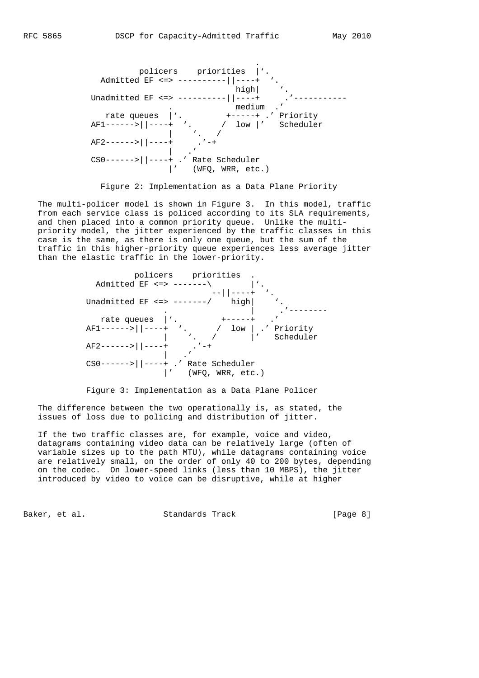

Figure 2: Implementation as a Data Plane Priority

 The multi-policer model is shown in Figure 3. In this model, traffic from each service class is policed according to its SLA requirements, and then placed into a common priority queue. Unlike the multi priority model, the jitter experienced by the traffic classes in this case is the same, as there is only one queue, but the sum of the traffic in this higher-priority queue experiences less average jitter than the elastic traffic in the lower-priority.



Figure 3: Implementation as a Data Plane Policer

 The difference between the two operationally is, as stated, the issues of loss due to policing and distribution of jitter.

 If the two traffic classes are, for example, voice and video, datagrams containing video data can be relatively large (often of variable sizes up to the path MTU), while datagrams containing voice are relatively small, on the order of only 40 to 200 bytes, depending on the codec. On lower-speed links (less than 10 MBPS), the jitter introduced by video to voice can be disruptive, while at higher

Baker, et al. Standards Track [Page 8]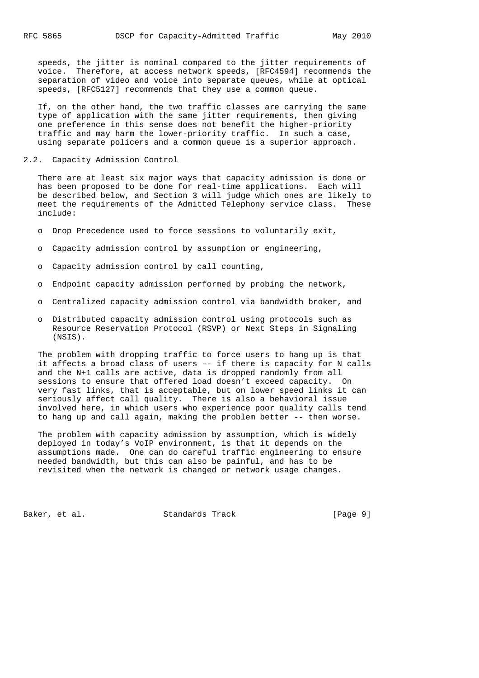speeds, the jitter is nominal compared to the jitter requirements of voice. Therefore, at access network speeds, [RFC4594] recommends the separation of video and voice into separate queues, while at optical speeds, [RFC5127] recommends that they use a common queue.

 If, on the other hand, the two traffic classes are carrying the same type of application with the same jitter requirements, then giving one preference in this sense does not benefit the higher-priority traffic and may harm the lower-priority traffic. In such a case, using separate policers and a common queue is a superior approach.

2.2. Capacity Admission Control

 There are at least six major ways that capacity admission is done or has been proposed to be done for real-time applications. Each will be described below, and Section 3 will judge which ones are likely to meet the requirements of the Admitted Telephony service class. These include:

- o Drop Precedence used to force sessions to voluntarily exit,
- o Capacity admission control by assumption or engineering,
- o Capacity admission control by call counting,
- o Endpoint capacity admission performed by probing the network,
- o Centralized capacity admission control via bandwidth broker, and
- o Distributed capacity admission control using protocols such as Resource Reservation Protocol (RSVP) or Next Steps in Signaling (NSIS).

 The problem with dropping traffic to force users to hang up is that it affects a broad class of users -- if there is capacity for N calls and the N+1 calls are active, data is dropped randomly from all sessions to ensure that offered load doesn't exceed capacity. On very fast links, that is acceptable, but on lower speed links it can seriously affect call quality. There is also a behavioral issue involved here, in which users who experience poor quality calls tend to hang up and call again, making the problem better -- then worse.

 The problem with capacity admission by assumption, which is widely deployed in today's VoIP environment, is that it depends on the assumptions made. One can do careful traffic engineering to ensure needed bandwidth, but this can also be painful, and has to be revisited when the network is changed or network usage changes.

Baker, et al. Standards Track [Page 9]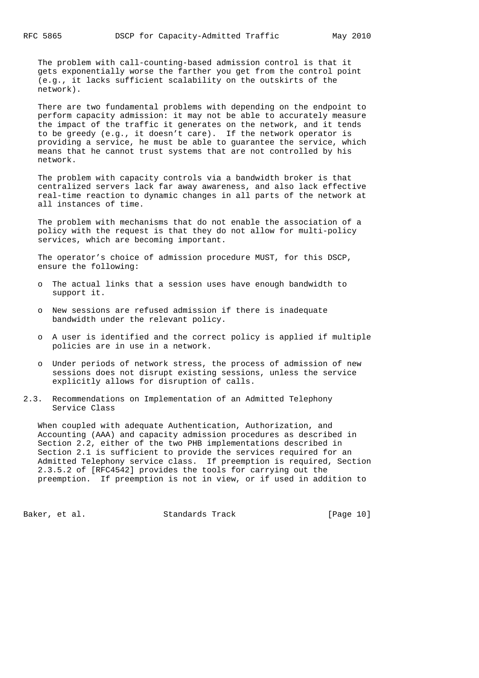The problem with call-counting-based admission control is that it gets exponentially worse the farther you get from the control point (e.g., it lacks sufficient scalability on the outskirts of the network).

 There are two fundamental problems with depending on the endpoint to perform capacity admission: it may not be able to accurately measure the impact of the traffic it generates on the network, and it tends to be greedy (e.g., it doesn't care). If the network operator is providing a service, he must be able to guarantee the service, which means that he cannot trust systems that are not controlled by his network.

 The problem with capacity controls via a bandwidth broker is that centralized servers lack far away awareness, and also lack effective real-time reaction to dynamic changes in all parts of the network at all instances of time.

 The problem with mechanisms that do not enable the association of a policy with the request is that they do not allow for multi-policy services, which are becoming important.

 The operator's choice of admission procedure MUST, for this DSCP, ensure the following:

- o The actual links that a session uses have enough bandwidth to support it.
- o New sessions are refused admission if there is inadequate bandwidth under the relevant policy.
- o A user is identified and the correct policy is applied if multiple policies are in use in a network.
- o Under periods of network stress, the process of admission of new sessions does not disrupt existing sessions, unless the service explicitly allows for disruption of calls.
- 2.3. Recommendations on Implementation of an Admitted Telephony Service Class

 When coupled with adequate Authentication, Authorization, and Accounting (AAA) and capacity admission procedures as described in Section 2.2, either of the two PHB implementations described in Section 2.1 is sufficient to provide the services required for an Admitted Telephony service class. If preemption is required, Section 2.3.5.2 of [RFC4542] provides the tools for carrying out the preemption. If preemption is not in view, or if used in addition to

Baker, et al. Standards Track [Page 10]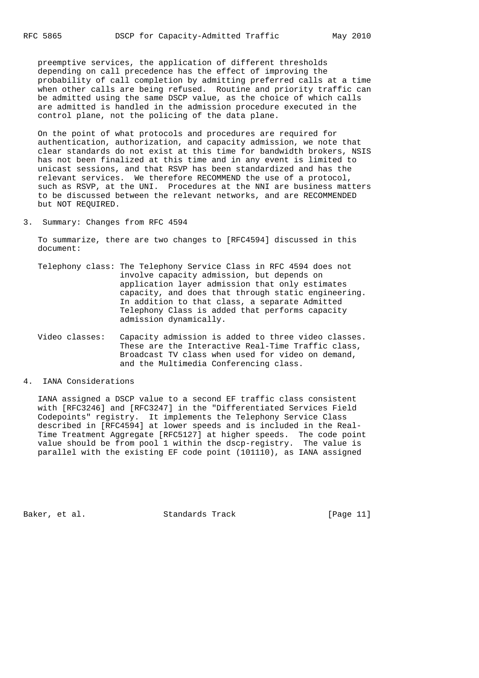preemptive services, the application of different thresholds depending on call precedence has the effect of improving the probability of call completion by admitting preferred calls at a time when other calls are being refused. Routine and priority traffic can be admitted using the same DSCP value, as the choice of which calls are admitted is handled in the admission procedure executed in the control plane, not the policing of the data plane.

 On the point of what protocols and procedures are required for authentication, authorization, and capacity admission, we note that clear standards do not exist at this time for bandwidth brokers, NSIS has not been finalized at this time and in any event is limited to unicast sessions, and that RSVP has been standardized and has the relevant services. We therefore RECOMMEND the use of a protocol, such as RSVP, at the UNI. Procedures at the NNI are business matters to be discussed between the relevant networks, and are RECOMMENDED but NOT REQUIRED.

3. Summary: Changes from RFC 4594

 To summarize, there are two changes to [RFC4594] discussed in this document:

- Telephony class: The Telephony Service Class in RFC 4594 does not involve capacity admission, but depends on application layer admission that only estimates capacity, and does that through static engineering. In addition to that class, a separate Admitted Telephony Class is added that performs capacity admission dynamically.
- Video classes: Capacity admission is added to three video classes. These are the Interactive Real-Time Traffic class, Broadcast TV class when used for video on demand, and the Multimedia Conferencing class.

#### 4. IANA Considerations

 IANA assigned a DSCP value to a second EF traffic class consistent with [RFC3246] and [RFC3247] in the "Differentiated Services Field Codepoints" registry. It implements the Telephony Service Class described in [RFC4594] at lower speeds and is included in the Real- Time Treatment Aggregate [RFC5127] at higher speeds. The code point value should be from pool 1 within the dscp-registry. The value is parallel with the existing EF code point (101110), as IANA assigned

Baker, et al. Standards Track [Page 11]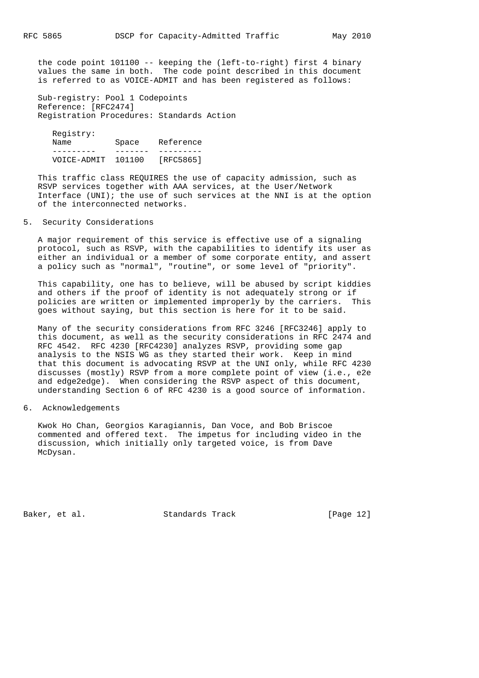the code point 101100 -- keeping the (left-to-right) first 4 binary values the same in both. The code point described in this document is referred to as VOICE-ADMIT and has been registered as follows:

 Sub-registry: Pool 1 Codepoints Reference: [RFC2474] Registration Procedures: Standards Action

 Registry: Name Space Reference --------- ------- --------- VOICE-ADMIT 101100 [RFC5865]

 This traffic class REQUIRES the use of capacity admission, such as RSVP services together with AAA services, at the User/Network Interface (UNI); the use of such services at the NNI is at the option of the interconnected networks.

### 5. Security Considerations

 A major requirement of this service is effective use of a signaling protocol, such as RSVP, with the capabilities to identify its user as either an individual or a member of some corporate entity, and assert a policy such as "normal", "routine", or some level of "priority".

 This capability, one has to believe, will be abused by script kiddies and others if the proof of identity is not adequately strong or if policies are written or implemented improperly by the carriers. This goes without saying, but this section is here for it to be said.

 Many of the security considerations from RFC 3246 [RFC3246] apply to this document, as well as the security considerations in RFC 2474 and RFC 4542. RFC 4230 [RFC4230] analyzes RSVP, providing some gap analysis to the NSIS WG as they started their work. Keep in mind that this document is advocating RSVP at the UNI only, while RFC 4230 discusses (mostly) RSVP from a more complete point of view (i.e., e2e and edge2edge). When considering the RSVP aspect of this document, understanding Section 6 of RFC 4230 is a good source of information.

### 6. Acknowledgements

 Kwok Ho Chan, Georgios Karagiannis, Dan Voce, and Bob Briscoe commented and offered text. The impetus for including video in the discussion, which initially only targeted voice, is from Dave McDysan.

Baker, et al. Standards Track [Page 12]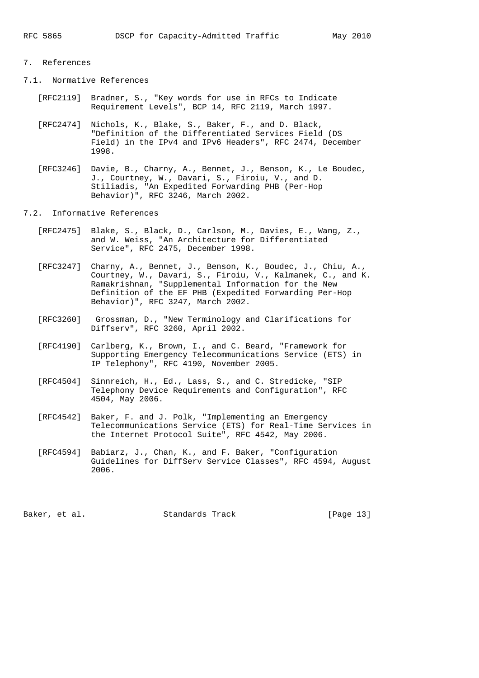# 7. References

- 7.1. Normative References
	- [RFC2119] Bradner, S., "Key words for use in RFCs to Indicate Requirement Levels", BCP 14, RFC 2119, March 1997.
	- [RFC2474] Nichols, K., Blake, S., Baker, F., and D. Black, "Definition of the Differentiated Services Field (DS Field) in the IPv4 and IPv6 Headers", RFC 2474, December 1998.
	- [RFC3246] Davie, B., Charny, A., Bennet, J., Benson, K., Le Boudec, J., Courtney, W., Davari, S., Firoiu, V., and D. Stiliadis, "An Expedited Forwarding PHB (Per-Hop Behavior)", RFC 3246, March 2002.
- 7.2. Informative References
	- [RFC2475] Blake, S., Black, D., Carlson, M., Davies, E., Wang, Z., and W. Weiss, "An Architecture for Differentiated Service", RFC 2475, December 1998.
	- [RFC3247] Charny, A., Bennet, J., Benson, K., Boudec, J., Chiu, A., Courtney, W., Davari, S., Firoiu, V., Kalmanek, C., and K. Ramakrishnan, "Supplemental Information for the New Definition of the EF PHB (Expedited Forwarding Per-Hop Behavior)", RFC 3247, March 2002.
	- [RFC3260] Grossman, D., "New Terminology and Clarifications for Diffserv", RFC 3260, April 2002.
	- [RFC4190] Carlberg, K., Brown, I., and C. Beard, "Framework for Supporting Emergency Telecommunications Service (ETS) in IP Telephony", RFC 4190, November 2005.
	- [RFC4504] Sinnreich, H., Ed., Lass, S., and C. Stredicke, "SIP Telephony Device Requirements and Configuration", RFC 4504, May 2006.
	- [RFC4542] Baker, F. and J. Polk, "Implementing an Emergency Telecommunications Service (ETS) for Real-Time Services in the Internet Protocol Suite", RFC 4542, May 2006.
	- [RFC4594] Babiarz, J., Chan, K., and F. Baker, "Configuration Guidelines for DiffServ Service Classes", RFC 4594, August 2006.

Baker, et al. Standards Track [Page 13]